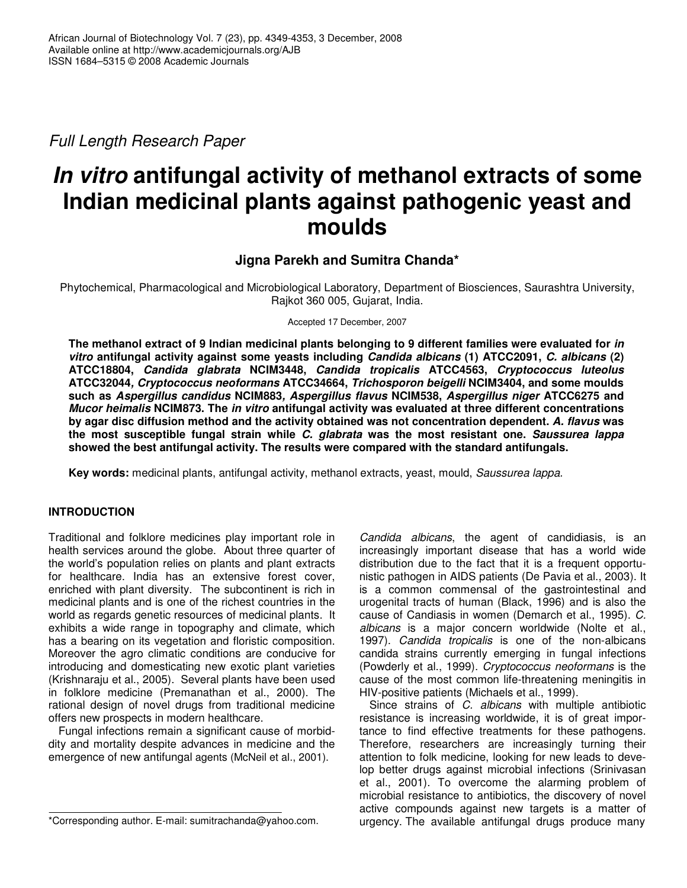*Full Length Research Paper*

# *In vitro* **antifungal activity of methanol extracts of some Indian medicinal plants against pathogenic yeast and moulds**

# **Jigna Parekh and Sumitra Chanda\***

Phytochemical, Pharmacological and Microbiological Laboratory, Department of Biosciences, Saurashtra University, Rajkot 360 005, Gujarat, India.

Accepted 17 December, 2007

**The methanol extract of 9 Indian medicinal plants belonging to 9 different families were evaluated for** *in vitro* **antifungal activity against some yeasts including** *Candida albicans* **(1) ATCC2091,** *C. albicans* **(2) ATCC18804,** *Candida glabrata* **NCIM3448,** *Candida tropicalis* **ATCC4563,** *Cryptococcus luteolus* **ATCC32044***, Cryptococcus neoformans* **ATCC34664,** *Trichosporon beigelli* **NCIM3404, and some moulds such as** *Aspergillus candidus* **NCIM883***, Aspergillus flavus* **NCIM538,** *Aspergillus niger* **ATCC6275 and** *Mucor heimalis* **NCIM873. The** *in vitro* **antifungal activity was evaluated at three different concentrations by agar disc diffusion method and the activity obtained was not concentration dependent.** *A. flavus* **was the most susceptible fungal strain while** *C. glabrata* **was the most resistant one.** *Saussurea lappa* **showed the best antifungal activity. The results were compared with the standard antifungals.**

**Key words:** medicinal plants, antifungal activity, methanol extracts, yeast, mould, *Saussurea lappa.*

## **INTRODUCTION**

Traditional and folklore medicines play important role in health services around the globe. About three quarter of the world's population relies on plants and plant extracts for healthcare. India has an extensive forest cover, enriched with plant diversity. The subcontinent is rich in medicinal plants and is one of the richest countries in the world as regards genetic resources of medicinal plants. It exhibits a wide range in topography and climate, which has a bearing on its vegetation and floristic composition. Moreover the agro climatic conditions are conducive for introducing and domesticating new exotic plant varieties (Krishnaraju et al., 2005). Several plants have been used in folklore medicine (Premanathan et al., 2000). The rational design of novel drugs from traditional medicine offers new prospects in modern healthcare.

Fungal infections remain a significant cause of morbiddity and mortality despite advances in medicine and the emergence of new antifungal agents (McNeil et al., 2001).

*Candida albicans*, the agent of candidiasis, is an increasingly important disease that has a world wide distribution due to the fact that it is a frequent opportunistic pathogen in AIDS patients (De Pavia et al., 2003). It is a common commensal of the gastrointestinal and urogenital tracts of human (Black, 1996) and is also the cause of Candiasis in women (Demarch et al., 1995). *C. albicans* is a major concern worldwide (Nolte et al., 1997). *Candida tropicalis* is one of the non-albicans candida strains currently emerging in fungal infections (Powderly et al., 1999). *Cryptococcus neoformans* is the cause of the most common life-threatening meningitis in HIV-positive patients (Michaels et al., 1999).

Since strains of *C. albicans* with multiple antibiotic resistance is increasing worldwide, it is of great importance to find effective treatments for these pathogens. Therefore, researchers are increasingly turning their attention to folk medicine, looking for new leads to develop better drugs against microbial infections (Srinivasan et al., 2001). To overcome the alarming problem of microbial resistance to antibiotics, the discovery of novel active compounds against new targets is a matter of urgency. The available antifungal drugs produce many

<sup>\*</sup>Corresponding author. E-mail: sumitrachanda@yahoo.com.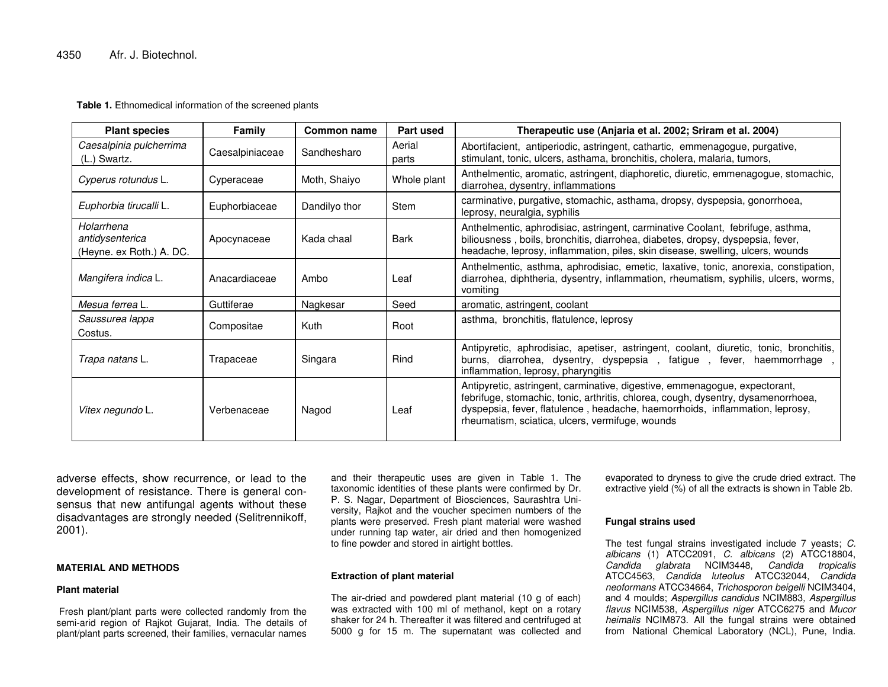**Table 1.** Ethnomedical information of the screened plants

| <b>Plant species</b>                                      | Family          | Common name   | Part used       | Therapeutic use (Anjaria et al. 2002; Sriram et al. 2004)                                                                                                                                                                                                                                          |
|-----------------------------------------------------------|-----------------|---------------|-----------------|----------------------------------------------------------------------------------------------------------------------------------------------------------------------------------------------------------------------------------------------------------------------------------------------------|
| Caesalpinia pulcherrima<br>(L.) Swartz.                   | Caesalpiniaceae | Sandhesharo   | Aerial<br>parts | Abortifacient, antiperiodic, astringent, cathartic, emmenagogue, purgative,<br>stimulant, tonic, ulcers, asthama, bronchitis, cholera, malaria, tumors,                                                                                                                                            |
| Cyperus rotundus L.                                       | Cyperaceae      | Moth, Shaiyo  | Whole plant     | Anthelmentic, aromatic, astringent, diaphoretic, diuretic, emmenagogue, stomachic,<br>diarrohea, dysentry, inflammations                                                                                                                                                                           |
| Euphorbia tirucalli L.                                    | Euphorbiaceae   | Dandilyo thor | Stem            | carminative, purgative, stomachic, asthama, dropsy, dyspepsia, gonorrhoea,<br>leprosy, neuralgia, syphilis                                                                                                                                                                                         |
| Holarrhena<br>antidysenterica<br>(Heyne. ex Roth.) A. DC. | Apocynaceae     | Kada chaal    | Bark            | Anthelmentic, aphrodisiac, astringent, carminative Coolant, febrifuge, asthma,<br>biliousness, boils, bronchitis, diarrohea, diabetes, dropsy, dyspepsia, fever,<br>headache, leprosy, inflammation, piles, skin disease, swelling, ulcers, wounds                                                 |
| Mangifera indica L.                                       | Anacardiaceae   | Ambo          | Leaf            | Anthelmentic, asthma, aphrodisiac, emetic, laxative, tonic, anorexia, constipation,<br>diarrohea, diphtheria, dysentry, inflammation, rheumatism, syphilis, ulcers, worms,<br>vomiting                                                                                                             |
| Mesua ferrea L.                                           | Guttiferae      | Nagkesar      | Seed            | aromatic, astringent, coolant                                                                                                                                                                                                                                                                      |
| Saussurea lappa<br>Costus.                                | Compositae      | Kuth          | Root            | asthma, bronchitis, flatulence, leprosy                                                                                                                                                                                                                                                            |
| Trapa natans L.                                           | Trapaceae       | Singara       | Rind            | Antipyretic, aphrodisiac, apetiser, astringent, coolant, diuretic, tonic, bronchitis,<br>burns, diarrohea, dysentry, dyspepsia, fatigue, fever, haemmorrhage,<br>inflammation, leprosy, pharyngitis                                                                                                |
| Vitex negundo L.                                          | Verbenaceae     | Nagod         | Leaf            | Antipyretic, astringent, carminative, digestive, emmenagogue, expectorant,<br>febrifuge, stomachic, tonic, arthritis, chlorea, cough, dysentry, dysamenorrhoea,<br>dyspepsia, fever, flatulence, headache, haemorrhoids, inflammation, leprosy,<br>rheumatism, sciatica, ulcers, vermifuge, wounds |

adverse effects, show recurrence, or lead to the development of resistance. There is general consensus that new antifungal agents without these disadvantages are strongly needed (Selitrennikoff, 2001).

#### **MATERIAL AND METHODS**

#### **Plant material**

Fresh plant/plant parts were collected randomly from the semi-arid region of Rajkot Gujarat, India. The details of plant/plant parts screened, their families, vernacular names

and their therapeutic uses are given in Table 1. The taxonomic identities of these plants were confirmed by Dr. P. S. Nagar, Department of Biosciences, Saurashtra University, Rajkot and the voucher specimen numbers of the plants were preserved. Fresh plant material were washed under running tap water, air dried and then homogenized to fine powder and stored in airtight bottles.

#### **Extraction of plant material**

The air-dried and powdered plant material (10 g of each) was extracted with 100 ml of methanol, kept on <sup>a</sup> rotary shaker for 24 h. Thereafter it was filtered and centrifuged at 5000 g for 15 m. The supernatant was collected and

evaporated to dryness to give the crude dried extract. The extractive yield (%) of all the extracts is shown in Table 2b.

#### **Fungal strains used**

The test fungal strains investigated include 7 yeasts; *C. albicans* (1) ATCC2091, *C. albicans* (2) ATCC18804, *Candida glabrata* NCIM3448, *Candida tropicalis* ATCC4563, *Candida luteolus* ATCC32044*, Candida neoformans* ATCC34664, *Trichosporon beigelli* NCIM3404, and 4 moulds; *Aspergillus candidus* NCIM883*, Aspergillus flavus* NCIM538, *Aspergillus niger* ATCC6275 and *Mucor heimalis* NCIM873. All the fungal strains were obtained from National Chemical Laboratory (NCL), Pune, India.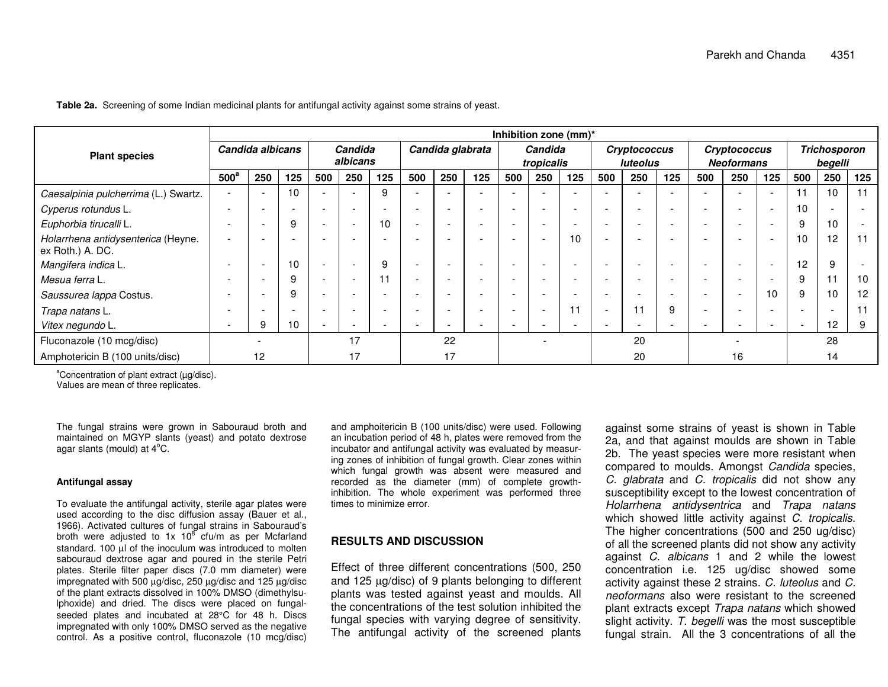|                                                        | Inhibition zone (mm)*    |                          |                          |                          |                          |                          |                          |                          |                          |                          |     |                          |                                 |                          |                          |                                   |                          |                          |                                |     |     |
|--------------------------------------------------------|--------------------------|--------------------------|--------------------------|--------------------------|--------------------------|--------------------------|--------------------------|--------------------------|--------------------------|--------------------------|-----|--------------------------|---------------------------------|--------------------------|--------------------------|-----------------------------------|--------------------------|--------------------------|--------------------------------|-----|-----|
| <b>Plant species</b>                                   | Candida albicans         |                          |                          | Candida<br>albicans      |                          |                          | Candida glabrata         |                          |                          | Candida<br>tropicalis    |     |                          | <b>Cryptococcus</b><br>luteolus |                          |                          | Cryptococcus<br><b>Neoformans</b> |                          |                          | <b>Trichosporon</b><br>begelli |     |     |
|                                                        | $500^\circ$              | 250                      | 125                      | 500                      | 250                      | 125                      | 500                      | 250                      | 125                      | 500                      | 250 | 125                      | 500                             | 250                      | 125                      | 500                               | 250                      | 125                      | 500                            | 250 | 125 |
| Caesalpinia pulcherrima (L.) Swartz.                   |                          | ٠                        | 10                       |                          |                          | 9                        | $\overline{\phantom{a}}$ |                          |                          | $\overline{\phantom{a}}$ |     | $\overline{\phantom{a}}$ |                                 |                          |                          | $\overline{\phantom{a}}$          |                          | $\overline{\phantom{a}}$ | 11                             | 10  | 11  |
| Cyperus rotundus L.                                    | $\overline{\phantom{0}}$ | $\overline{\phantom{a}}$ | $\overline{\phantom{a}}$ | $\overline{\phantom{a}}$ | $\overline{\phantom{a}}$ | $\overline{\phantom{0}}$ | $\overline{\phantom{a}}$ | -                        | $\overline{\phantom{0}}$ | $\overline{\phantom{a}}$ |     | $\overline{\phantom{a}}$ | $\overline{\phantom{0}}$        | $\overline{\phantom{a}}$ | $\overline{\phantom{a}}$ | $\overline{\phantom{a}}$          | $\overline{\phantom{a}}$ | $\overline{\phantom{a}}$ | 10                             |     |     |
| Euphorbia tirucalli L.                                 |                          | $\overline{\phantom{a}}$ | 9                        | $\overline{\phantom{a}}$ | $\overline{\phantom{a}}$ | 10                       | $\overline{\phantom{a}}$ |                          |                          | $\overline{\phantom{a}}$ |     | $\overline{\phantom{a}}$ |                                 | $\overline{\phantom{a}}$ | $\overline{\phantom{0}}$ | $\overline{\phantom{a}}$          |                          | $\overline{\phantom{0}}$ | 9                              | 10  |     |
| Holarrhena antidysenterica (Heyne.<br>ex Roth.) A. DC. |                          | -                        |                          |                          | $\overline{\phantom{0}}$ |                          | $\overline{\phantom{0}}$ |                          |                          | $\overline{\phantom{0}}$ |     | 10                       |                                 | $\overline{\phantom{0}}$ | $\overline{\phantom{a}}$ | $\overline{\phantom{a}}$          | $\overline{\phantom{a}}$ | $\overline{\phantom{0}}$ | 10                             | 12  | 11  |
| Mangifera indica L.                                    |                          | $\overline{\phantom{a}}$ | 10                       | $\overline{\phantom{a}}$ | $\overline{\phantom{a}}$ | 9                        | $\overline{\phantom{a}}$ | $\overline{\phantom{a}}$ |                          | $\overline{\phantom{a}}$ |     | $\overline{\phantom{a}}$ | $\overline{\phantom{a}}$        |                          | $\overline{\phantom{0}}$ | $\overline{\phantom{a}}$          |                          |                          | 12                             | 9   |     |
| Mesua ferra L.                                         |                          | $\overline{\phantom{a}}$ | 9                        |                          | $\overline{\phantom{a}}$ | 11                       | $\overline{\phantom{a}}$ |                          |                          | $\overline{\phantom{0}}$ |     |                          |                                 |                          |                          | $\overline{\phantom{a}}$          |                          |                          | 9                              |     | 10  |
| Saussurea lappa Costus.                                |                          | $\overline{\phantom{0}}$ | 9                        | $\overline{\phantom{0}}$ | $\overline{\phantom{0}}$ | $\overline{\phantom{a}}$ | $\overline{\phantom{a}}$ | $\overline{\phantom{a}}$ | $\overline{\phantom{a}}$ | $\overline{\phantom{a}}$ |     | $\overline{\phantom{a}}$ | -                               | $\overline{\phantom{a}}$ | $\overline{\phantom{a}}$ | $\overline{\phantom{a}}$          | $\overline{\phantom{a}}$ | 10                       | 9                              | 10  | 12  |
| Trapa natans L.                                        |                          | $\overline{\phantom{a}}$ |                          | $\overline{\phantom{a}}$ | $\overline{\phantom{0}}$ |                          | $\overline{\phantom{a}}$ | $\overline{\phantom{a}}$ | $\overline{\phantom{0}}$ | $\overline{\phantom{0}}$ |     | 11                       | $\overline{\phantom{a}}$        | 11                       | 9                        | $\overline{\phantom{a}}$          | $\overline{\phantom{0}}$ | $\overline{\phantom{0}}$ | $\overline{\phantom{a}}$       |     |     |
| Vitex negundo L.                                       |                          | 9                        | 10                       |                          | $\overline{\phantom{0}}$ |                          | $\overline{\phantom{a}}$ |                          |                          | $\overline{\phantom{a}}$ |     | $\overline{\phantom{a}}$ | -                               | $\overline{\phantom{0}}$ | $\overline{\phantom{0}}$ | $\overline{\phantom{a}}$          | ٠                        | $\overline{\phantom{0}}$ |                                | 12  |     |
| Fluconazole (10 mcg/disc)                              |                          |                          | 17                       |                          | 22                       |                          |                          |                          | 20                       |                          |     |                          |                                 |                          | 28                       |                                   |                          |                          |                                |     |     |
| Amphotericin B (100 units/disc)                        | 12                       |                          | 17                       |                          |                          | 17                       |                          |                          |                          |                          |     | 20                       |                                 |                          | 16                       |                                   |                          | 14                       |                                |     |     |

**Table 2a.** Screening of some Indian medicinal plants for antifungal activity against some strains of yeast.

<sup>a</sup>Concentration of plant extract (μg/disc).

Values are mean of three replicates.

The fungal strains were grown in Sabouraud broth and maintained on MGYP slants (yeast) and potato dextrose agar slants (mould) at  $4^{\circ}$ C.

#### **Antifungal assay**

To evaluate the antifungal activity, sterile agar plates were used according to the disc diffusion assay (Bauer et al., 1966). Activated cultures of fungal strains in Sabouraud's broth were adjusted to 1x 10 $^8$  cfu/m as per Mcfarland standard. 100 µl of the inoculum was introduced to molten sabouraud dextrose agar and poured in the sterile Petri plates. Sterile filter paper discs (7.0 mm diameter) were impregnated with 500 µg/disc, 250 µg/disc and 125 µg/disc of the plant extracts dissolved in 100% DMSO (dimethylsulphoxide) and dried. The discs were placed on fungalseeded plates and incubated at 28°C for 48 h. Discs impregnated with only 100% DMSO served as the negative control. As a positive control, fluconazole (10 mcg/disc)

and amphoitericin B (100 units/disc) were used. Following an incubation period of 48 h, plates were removed from the incubator and antifungal activity was evaluated by measuring zones of inhibition of fungal growth. Clear zones within which fungal growth was absent were measured and recorded as the diameter (mm) of complete growthinhibition. The whole experiment was performed three times to minimize error.

## **RESULTS AND DISCUSSION**

Effect of three different concentrations (500, 250 and 125 µg/disc) of 9 plants belonging to different plants was tested against yeast and moulds. All the concentrations of the test solution inhibited the fungal species with varying degree of sensitivity. The antifungal activity of the screened plants

against some strains of yeast is shown in Table 2a, and that against moulds are shown in Table 2b. The yeast species were more resistant when compared to moulds. Amongst *Candida* species, *C. glabrata* and *C. tropicalis* did not show any susceptibility except to the lowest concentration of *Holarrhena antidysentrica* and *Trapa natans* which showed little activity against *C. tropicalis*. The higher concentrations (500 and 250 ug/disc) of all the screened plants did not show any activity against *C. albicans* 1 and 2 while the lowest concentration i.e. 125 ug/disc showed some activity against these 2 strains. *C. luteolus* and *C. neoformans* also were resistant to the screened plant extracts except *Trapa natans* which showed slight activity. *T. begelli* was the most susceptible fungal strain. All the 3 concentrations of all the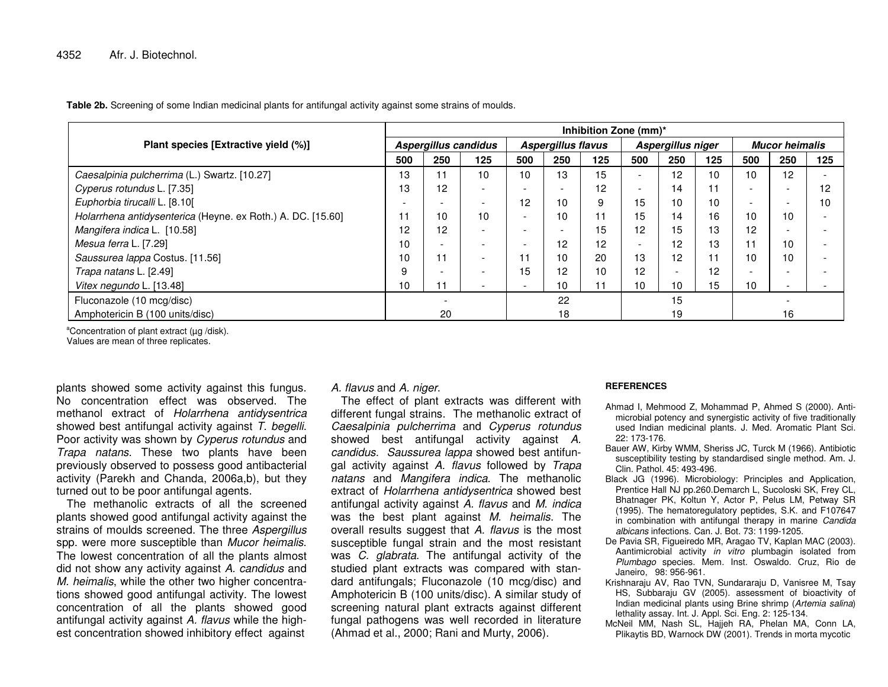**Table 2b.** Screening of some Indian medicinal plants for antifungal activity against some strains of moulds.

|                                                             |                          | Inhibition Zone (mm)*    |                          |                          |                           |     |                          |                          |     |                       |                          |     |  |  |
|-------------------------------------------------------------|--------------------------|--------------------------|--------------------------|--------------------------|---------------------------|-----|--------------------------|--------------------------|-----|-----------------------|--------------------------|-----|--|--|
| Plant species [Extractive yield (%)]                        | Aspergillus candidus     |                          |                          |                          | <b>Aspergillus flavus</b> |     | Aspergillus niger        |                          |     | <b>Mucor heimalis</b> |                          |     |  |  |
|                                                             |                          | 250                      | 125                      | 500                      | 250                       | 125 | 500                      | 250                      | 125 | 500                   | 250                      | 125 |  |  |
| Caesalpinia pulcherrima (L.) Swartz. [10.27]                | 13                       | 11                       | 10                       | 10                       | 13                        | 15  | $\overline{\phantom{0}}$ | 12                       | 10  | 10                    | 12                       |     |  |  |
| Cyperus rotundus L. [7.35]                                  | 13                       | 12                       | $\overline{\phantom{0}}$ | $\overline{\phantom{0}}$ | $\overline{\phantom{0}}$  | 12  | $\overline{\phantom{0}}$ | 14                       | 11  | ۰                     |                          | 12  |  |  |
| Euphorbia tirucalli L. [8.10]                               | $\overline{\phantom{a}}$ | $\overline{\phantom{0}}$ | $\overline{\phantom{a}}$ | 12                       | 10                        | 9   | 15                       | 10                       | 10  |                       | $\overline{\phantom{0}}$ | 10  |  |  |
| Holarrhena antidysenterica (Heyne. ex Roth.) A. DC. [15.60] |                          | 10                       | 10                       | $\overline{\phantom{0}}$ | 10                        |     | 15                       | 14                       | 16  | 10                    | 10                       |     |  |  |
| Mangifera indica L. [10.58]                                 |                          | 12                       | $\overline{\phantom{0}}$ | $\overline{\phantom{0}}$ | $\overline{\phantom{0}}$  | 15  | 12                       | 15                       | 13  | $12 \overline{ }$     |                          |     |  |  |
| Mesua ferra L. [7.29]                                       | 10                       | $\overline{\phantom{0}}$ | -                        | $\overline{\phantom{a}}$ | 12                        | 12  | $\overline{\phantom{0}}$ | 12                       | 13  |                       | 10                       |     |  |  |
| Saussurea lappa Costus. [11.56]                             | 10                       | 11                       | $\overline{\phantom{0}}$ |                          | 10                        | 20  | 13                       | 12                       | 11  | 10                    | 10                       |     |  |  |
| Trapa natans L. [2.49]                                      | 9                        | $\sim$                   |                          | 15                       | 12                        | 10  | 12                       | $\overline{\phantom{a}}$ | 12  | -                     |                          |     |  |  |
| Vitex negundo L. [13.48]                                    | 10                       | 11                       | $\overline{\phantom{a}}$ | $\overline{\phantom{0}}$ | 10                        |     | 10                       | 10                       | 15  | 10                    |                          |     |  |  |
| Fluconazole (10 mcg/disc)                                   |                          |                          |                          |                          | 22                        |     |                          | 15                       |     |                       |                          |     |  |  |
| Amphotericin B (100 units/disc)                             |                          | 20                       |                          |                          | 18                        |     |                          | 19                       |     | 16                    |                          |     |  |  |

<sup>a</sup>Concentration of plant extract (μg /disk).

Values are mean of three replicates.

plants showed some activity against this fungus. No concentration effect was observed. The methanol extract of *Holarrhena antidysentrica* showed best antifungal activity against *T. begelli*. Poor activity was shown by *Cyperus rotundus* and *Trapa natans*. These two plants have been previously observed to possess good antibacterial activity (Parekh and Chanda, 2006a,b), but they turned out to be poor antifungal agents.

The methanolic extracts of all the screened plants showed good antifungal activity against the strains of moulds screened. The three *Aspergillus* spp. were more susceptible than *Mucor heimalis*. The lowest concentration of all the plants almost did not show any activity against *A. candidus* and *M. heimalis*, while the other two higher concentrations showed good antifungal activity. The lowest concentration of all the plants showed good antifungal activity against *A. flavus* while the highest concentration showed inhibitory effect against

### *A. flavus* and *A. niger*.

The effect of plant extracts was different with different fungal strains. The methanolic extract of *Caesalpinia pulcherrima* and *Cyperus rotundus* showed best antifungal activity against *A. candidus*. *Saussurea lappa* showed best antifungal activity against *A. flavus* followed by *Trapa natans* and *Mangifera indica*. The methanolic extract of *Holarrhena antidysentrica* showed best antifungal activity against *A. flavus* and *M. indica* was the best plant against *M. heimalis*. The overall results suggest that *A. flavus* is the most susceptible fungal strain and the most resistant was *C. glabrata*. The antifungal activity of the studied plant extracts was compared with standard antifungals; Fluconazole (10 mcg/disc) and Amphotericin B (100 units/disc). A similar study of screening natural plant extracts against different fungal pathogens was well recorded in literature (Ahmad et al., 2000; Rani and Murty, 2006).

#### **REFERENCES**

- Ahmad I, Mehmood Z, Mohammad P, Ahmed S (2000). Antimicrobial potency and synergistic activity of five traditionally used Indian medicinal plants. J. Med. Aromatic Plant Sci. 22: 173-176.
- Bauer AW, Kirby WMM, Sheriss JC, Turck M (1966). Antibiotic susceptibility testing by standardised single method. Am. J. Clin. Pathol. 45: 493-496.
- Black JG (1996). Microbiology: Principles and Application, Prentice Hall NJ pp.260.Demarch L, Sucoloski SK, Frey CL, Bhatnager PK, Koltun Y, Actor P, Pelus LM, Petway SR (1995). The hematoregulatory peptides, S.K. and F107647 in combination with antifungal therapy in marine *Candida albicans* infections. Can. J. Bot. 73: 1199-1205.
- De Pavia SR, Figueiredo MR, Aragao TV, Kaplan MAC (2003). Aantimicrobial activity *in vitro* plumbagin isolated from *Plumbago* species. Mem. Inst. Oswaldo. Cruz, Rio de Janeiro, 98: 956-961.
- Krishnaraju AV, Rao TVN, Sundararaju D, Vanisree M, Tsay HS, Subbaraju GV (2005). assessment of bioactivity of Indian medicinal plants using Brine shrimp (*Artemia salina*) lethality assay. Int. J. Appl. Sci. Eng. 2: 125-134.
- McNeil MM, Nash SL, Hajjeh RA, Phelan MA, Conn LA, Plikaytis BD, Warnock DW (2001). Trends in morta mycotic